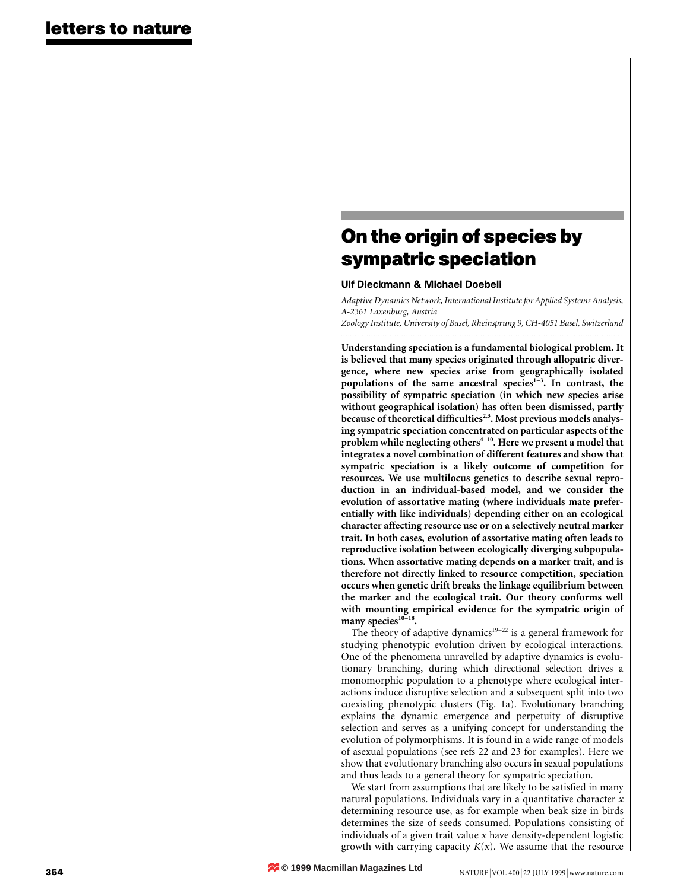# **On the origin of species by sympatric speciation**

### Ulf Dieckmann & Michael Doebeli

*Adaptive Dynamics Network, International Institute for Applied Systems Analysis, A-2361 Laxenburg, Austria*

*Zoology Institute, University of Basel, Rheinsprung 9, CH-4051 Basel, Switzerland*

**Understanding speciation is a fundamental biological problem. It is believed that many species originated through allopatric divergence, where new species arise from geographically isolated populations of the same ancestral species1–3. In contrast, the possibility of sympatric speciation (in which new species arise without geographical isolation) has often been dismissed, partly because of theoretical difficulties2,3. Most previous models analysing sympatric speciation concentrated on particular aspects of the** problem while neglecting others<sup>4-10</sup>. Here we present a model that **integrates a novel combination of different features and show that sympatric speciation is a likely outcome of competition for resources. We use multilocus genetics to describe sexual reproduction in an individual-based model, and we consider the evolution of assortative mating (where individuals mate preferentially with like individuals) depending either on an ecological character affecting resource use or on a selectively neutral marker trait. In both cases, evolution of assortative mating often leads to reproductive isolation between ecologically diverging subpopulations. When assortative mating depends on a marker trait, and is therefore not directly linked to resource competition, speciation occurs when genetic drift breaks the linkage equilibrium between the marker and the ecological trait. Our theory conforms well with mounting empirical evidence for the sympatric origin of** many species<sup>10-18</sup>.

The theory of adaptive dynamics<sup>19–22</sup> is a general framework for studying phenotypic evolution driven by ecological interactions. One of the phenomena unravelled by adaptive dynamics is evolutionary branching, during which directional selection drives a monomorphic population to a phenotype where ecological interactions induce disruptive selection and a subsequent split into two coexisting phenotypic clusters (Fig. 1a). Evolutionary branching explains the dynamic emergence and perpetuity of disruptive selection and serves as a unifying concept for understanding the evolution of polymorphisms. It is found in a wide range of models of asexual populations (see refs 22 and 23 for examples). Here we show that evolutionary branching also occurs in sexual populations and thus leads to a general theory for sympatric speciation.

We start from assumptions that are likely to be satisfied in many natural populations. Individuals vary in a quantitative character *x* determining resource use, as for example when beak size in birds determines the size of seeds consumed. Populations consisting of individuals of a given trait value *x* have density-dependent logistic growth with carrying capacity  $K(x)$ . We assume that the resource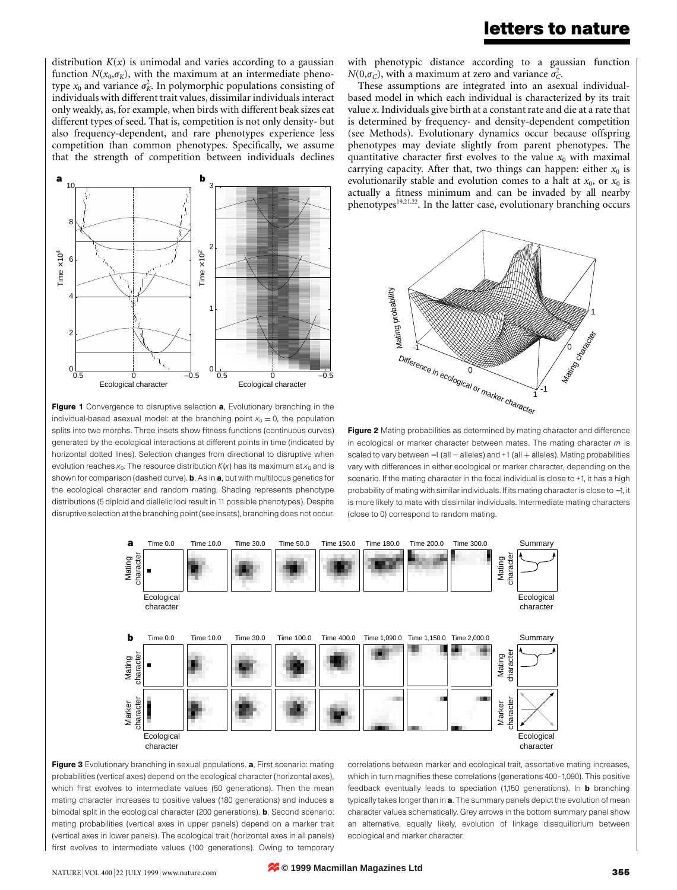### **letters to nature**

distribution  $K(x)$  is unimodal and varies according to a gaussian function  $N(x_0, \sigma_K)$ , with the maximum at an intermediate phenotype  $x_0$  and variance  $\sigma_K^2$ . In polymorphic populations consisting of individuals with different trait values, dissimilar individuals interact only weakly, as, for example, when birds with different beak sizes eat different types of seed. That is, competition is not only density- but also frequency-dependent, and rare phenotypes experience less competition than common phenotypes. Specifically, we assume that the strength of competition between individuals declines



Figure 1 Convergence to disruptive selection a, Evolutionary branching in the individual-based asexual model: at the branching point  $x_0 = 0$ , the population splits into two morphs. Three insets show fitness functions (continuous curves) generated by the ecological interactions at different points in time (indicated by horizontal dotted lines). Selection changes from directional to disruptive when evolution reaches  $x_0$ . The resource distribution  $K(x)$  has its maximum at  $x_0$  and is shown for comparison (dashed curve). **b**, As in **a**, but with multilocus genetics for the ecological character and random mating. Shading represents phenotype distributions (5 diploid and diallelic loci result in 11 possible phenotypes). Despite disruptive selection at the branching point (see insets), branching does not occur.

with phenotypic distance according to a gaussian function  $N(0,\sigma_C)$ , with a maximum at zero and variance  $\sigma_C^2$ .

These assumptions are integrated into an asexual individualbased model in which each individual is characterized by its trait value *x*. Individuals give birth at a constant rate and die at a rate that is determined by frequency- and density-dependent competition (see Methods). Evolutionary dynamics occur because offspring phenotypes may deviate slightly from parent phenotypes. The quantitative character first evolves to the value  $x_0$  with maximal carrying capacity. After that, two things can happen: either  $x_0$  is evolutionarily stable and evolution comes to a halt at  $x_0$ , or  $x_0$  is actually a fitness minimum and can be invaded by all nearby phenotypes19,21,22. In the latter case, evolutionary branching occurs



Figure 2 Mating probabilities as determined by mating character and difference in ecological or marker character between mates. The mating character *m* is scaled to vary between -1 (all - alleles) and +1 (all + alleles). Mating probabilities vary with differences in either ecological or marker character, depending on the scenario. If the mating character in the focal individual is close to +1, it has a high probability of mating with similar individuals. If its mating character is close to −1, it is more likely to mate with dissimilar individuals. Intermediate mating characters (close to 0) correspond to random mating.



Figure 3 Evolutionary branching in sexual populations. a, First scenario: mating probabilities (vertical axes) depend on the ecological character (horizontal axes), which first evolves to intermediate values (50 generations). Then the mean mating character increases to positive values (180 generations) and induces a bimodal split in the ecological character (200 generations). **b**, Second scenario: mating probabilities (vertical axes in upper panels) depend on a marker trait (vertical axes in lower panels). The ecological trait (horizontal axes in all panels) first evolves to intermediate values (100 generations). Owing to temporary

correlations between marker and ecological trait, assortative mating increases, which in turn magnifies these correlations (generations 400–1,090). This positive feedback eventually leads to speciation (1,150 generations). In **b** branching typically takes longer than in a. The summary panels depict the evolution of mean character values schematically. Grey arrows in the bottom summary panel show an alternative, equally likely, evolution of linkage disequilibrium between ecological and marker character.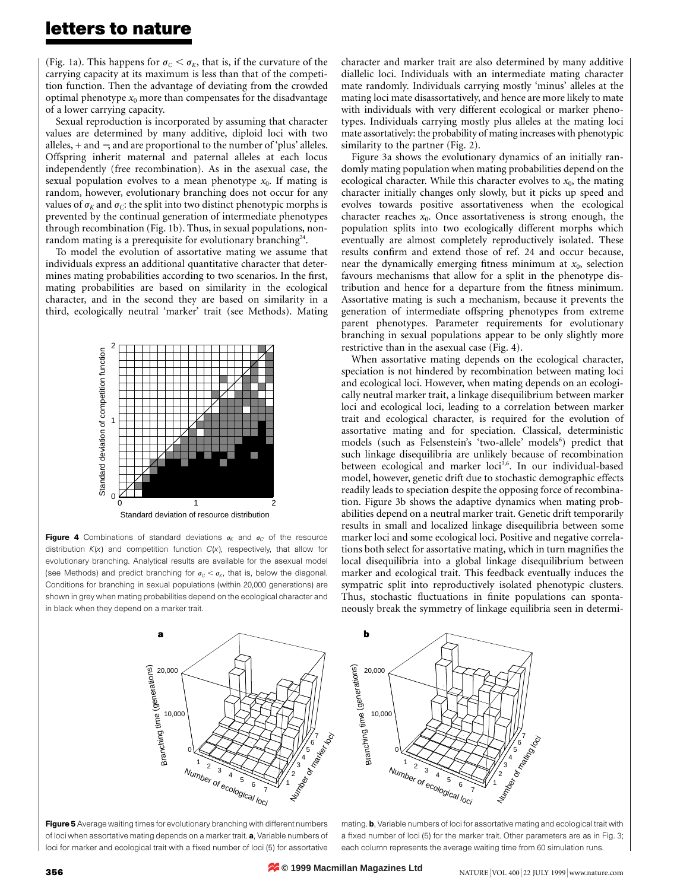## **letters to nature**

(Fig. 1a). This happens for  $\sigma_C < \sigma_K$ , that is, if the curvature of the carrying capacity at its maximum is less than that of the competition function. Then the advantage of deviating from the crowded optimal phenotype  $x_0$  more than compensates for the disadvantage of a lower carrying capacity.

Sexual reproduction is incorporated by assuming that character values are determined by many additive, diploid loci with two alleles, + and −, and are proportional to the number of 'plus' alleles. Offspring inherit maternal and paternal alleles at each locus independently (free recombination). As in the asexual case, the sexual population evolves to a mean phenotype  $x_0$ . If mating is random, however, evolutionary branching does not occur for any values of  $\sigma_K$  and  $\sigma_C$ : the split into two distinct phenotypic morphs is prevented by the continual generation of intermediate phenotypes through recombination (Fig. 1b). Thus, in sexual populations, nonrandom mating is a prerequisite for evolutionary branching<sup>24</sup>.

To model the evolution of assortative mating we assume that individuals express an additional quantitative character that determines mating probabilities according to two scenarios. In the first, mating probabilities are based on similarity in the ecological character, and in the second they are based on similarity in a third, ecologically neutral 'marker' trait (see Methods). Mating



Standard deviation of resource distribution

**Figure 4** Combinations of standard deviations  $\sigma_K$  and  $\sigma_C$  of the resource distribution *K*(*x*) and competition function *C*(*x*), respectively, that allow for evolutionary branching. Analytical results are available for the asexual model (see Methods) and predict branching for  $\sigma_c < \sigma_K$ , that is, below the diagonal. Conditions for branching in sexual populations (within 20,000 generations) are shown in grey when mating probabilities depend on the ecological character and in black when they depend on a marker trait.

character and marker trait are also determined by many additive diallelic loci. Individuals with an intermediate mating character mate randomly. Individuals carrying mostly 'minus' alleles at the mating loci mate disassortatively, and hence are more likely to mate with individuals with very different ecological or marker phenotypes. Individuals carrying mostly plus alleles at the mating loci mate assortatively: the probability of mating increases with phenotypic similarity to the partner (Fig. 2).

Figure 3a shows the evolutionary dynamics of an initially randomly mating population when mating probabilities depend on the ecological character. While this character evolves to  $x_0$ , the mating character initially changes only slowly, but it picks up speed and evolves towards positive assortativeness when the ecological character reaches  $x_0$ . Once assortativeness is strong enough, the population splits into two ecologically different morphs which eventually are almost completely reproductively isolated. These results confirm and extend those of ref. 24 and occur because, near the dynamically emerging fitness minimum at  $x_0$ , selection favours mechanisms that allow for a split in the phenotype distribution and hence for a departure from the fitness minimum. Assortative mating is such a mechanism, because it prevents the generation of intermediate offspring phenotypes from extreme parent phenotypes. Parameter requirements for evolutionary branching in sexual populations appear to be only slightly more restrictive than in the asexual case (Fig. 4).

When assortative mating depends on the ecological character, speciation is not hindered by recombination between mating loci and ecological loci. However, when mating depends on an ecologically neutral marker trait, a linkage disequilibrium between marker loci and ecological loci, leading to a correlation between marker trait and ecological character, is required for the evolution of assortative mating and for speciation. Classical, deterministic models (such as Felsenstein's 'two-allele' models<sup>6</sup>) predict that such linkage disequilibria are unlikely because of recombination between ecological and marker loci<sup>3,6</sup>. In our individual-based model, however, genetic drift due to stochastic demographic effects readily leads to speciation despite the opposing force of recombination. Figure 3b shows the adaptive dynamics when mating probabilities depend on a neutral marker trait. Genetic drift temporarily results in small and localized linkage disequilibria between some marker loci and some ecological loci. Positive and negative correlations both select for assortative mating, which in turn magnifies the local disequilibria into a global linkage disequilibrium between marker and ecological trait. This feedback eventually induces the sympatric split into reproductively isolated phenotypic clusters. Thus, stochastic fluctuations in finite populations can spontaneously break the symmetry of linkage equilibria seen in determi-



Figure 5 Average waiting times for evolutionary branching with different numbers of loci when assortative mating depends on a marker trait. a, Variable numbers of loci for marker and ecological trait with a fixed number of loci (5) for assortative



mating. b, Variable numbers of loci for assortative mating and ecological trait with a fixed number of loci (5) for the marker trait. Other parameters are as in Fig. 3; each column represents the average waiting time from 60 simulation runs.